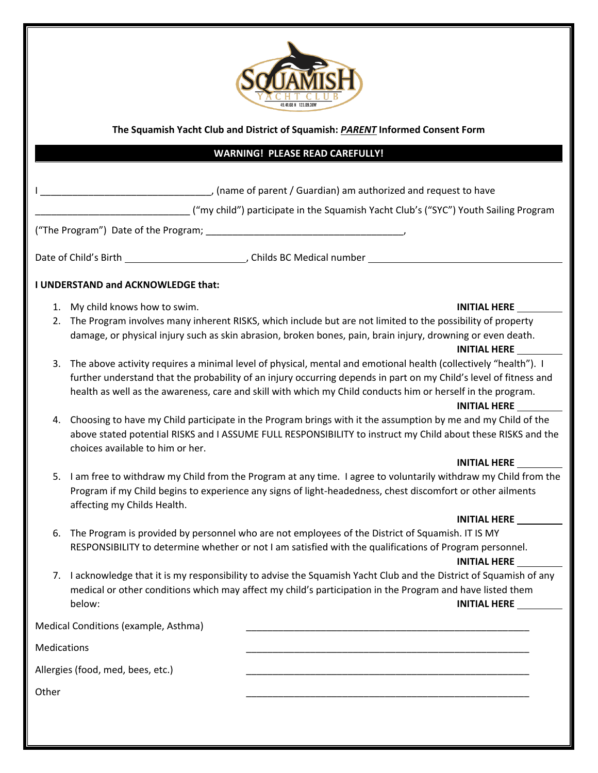

## **The Squamish Yacht Club and District of Squamish:** *PARENT* **Informed Consent Form**

## **WARNING! PLEASE READ CAREFULLY!**

|                                   |                                                                                                                                                                                                                                    | ______, (name of parent / Guardian) am authorized and request to have                                                                                                                                                                                                                                                                                                      |  |
|-----------------------------------|------------------------------------------------------------------------------------------------------------------------------------------------------------------------------------------------------------------------------------|----------------------------------------------------------------------------------------------------------------------------------------------------------------------------------------------------------------------------------------------------------------------------------------------------------------------------------------------------------------------------|--|
|                                   |                                                                                                                                                                                                                                    | ("my child") participate in the Squamish Yacht Club's ("SYC") Youth Sailing Program                                                                                                                                                                                                                                                                                        |  |
|                                   |                                                                                                                                                                                                                                    |                                                                                                                                                                                                                                                                                                                                                                            |  |
|                                   |                                                                                                                                                                                                                                    |                                                                                                                                                                                                                                                                                                                                                                            |  |
|                                   | I UNDERSTAND and ACKNOWLEDGE that:                                                                                                                                                                                                 |                                                                                                                                                                                                                                                                                                                                                                            |  |
| 1.                                | My child knows how to swim.                                                                                                                                                                                                        | <b>INITIAL HERE</b>                                                                                                                                                                                                                                                                                                                                                        |  |
| 2.                                |                                                                                                                                                                                                                                    | The Program involves many inherent RISKS, which include but are not limited to the possibility of property<br>damage, or physical injury such as skin abrasion, broken bones, pain, brain injury, drowning or even death.<br><b>INITIAL HERE</b>                                                                                                                           |  |
| 3.                                |                                                                                                                                                                                                                                    | The above activity requires a minimal level of physical, mental and emotional health (collectively "health"). I<br>further understand that the probability of an injury occurring depends in part on my Child's level of fitness and<br>health as well as the awareness, care and skill with which my Child conducts him or herself in the program.<br><b>INITIAL HERE</b> |  |
| 4.                                | choices available to him or her.                                                                                                                                                                                                   | Choosing to have my Child participate in the Program brings with it the assumption by me and my Child of the<br>above stated potential RISKS and I ASSUME FULL RESPONSIBILITY to instruct my Child about these RISKS and the                                                                                                                                               |  |
|                                   |                                                                                                                                                                                                                                    | <b>INITIAL HERE</b>                                                                                                                                                                                                                                                                                                                                                        |  |
| 5.                                | affecting my Childs Health.                                                                                                                                                                                                        | I am free to withdraw my Child from the Program at any time. I agree to voluntarily withdraw my Child from the<br>Program if my Child begins to experience any signs of light-headedness, chest discomfort or other ailments                                                                                                                                               |  |
|                                   |                                                                                                                                                                                                                                    | <b>INITIAL HERE</b>                                                                                                                                                                                                                                                                                                                                                        |  |
| 6.                                | The Program is provided by personnel who are not employees of the District of Squamish. IT IS MY<br>RESPONSIBILITY to determine whether or not I am satisfied with the qualifications of Program personnel.<br><b>INITIAL HERE</b> |                                                                                                                                                                                                                                                                                                                                                                            |  |
| 7.                                | below:                                                                                                                                                                                                                             | I acknowledge that it is my responsibility to advise the Squamish Yacht Club and the District of Squamish of any<br>medical or other conditions which may affect my child's participation in the Program and have listed them<br><b>INITIAL HERE</b>                                                                                                                       |  |
|                                   | Medical Conditions (example, Asthma)                                                                                                                                                                                               |                                                                                                                                                                                                                                                                                                                                                                            |  |
| Medications                       |                                                                                                                                                                                                                                    |                                                                                                                                                                                                                                                                                                                                                                            |  |
| Allergies (food, med, bees, etc.) |                                                                                                                                                                                                                                    |                                                                                                                                                                                                                                                                                                                                                                            |  |
| Other                             |                                                                                                                                                                                                                                    |                                                                                                                                                                                                                                                                                                                                                                            |  |
|                                   |                                                                                                                                                                                                                                    |                                                                                                                                                                                                                                                                                                                                                                            |  |
|                                   |                                                                                                                                                                                                                                    |                                                                                                                                                                                                                                                                                                                                                                            |  |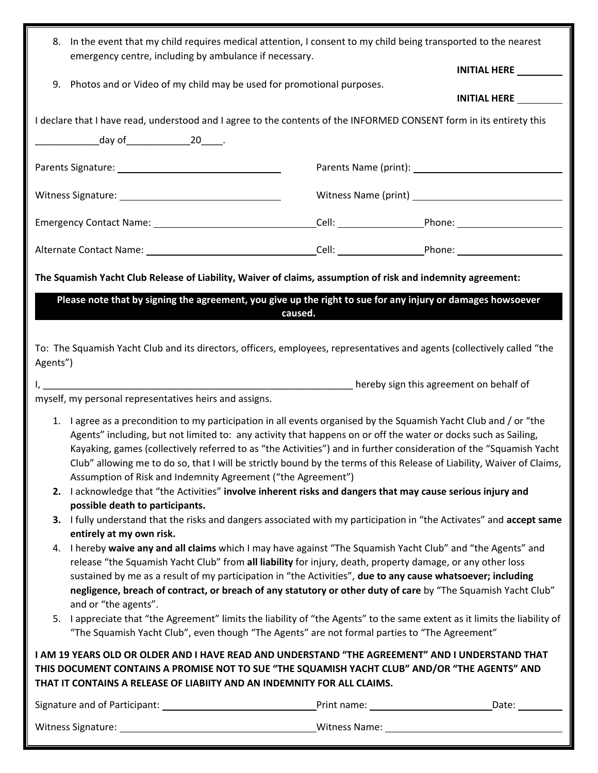| In the event that my child requires medical attention, I consent to my child being transported to the nearest<br>8.<br>emergency centre, including by ambulance if necessary.                                                                                                                                                                                                                                                                                                                                                                                                                                                                                                                                                                       |         |                                                                                                               |  |  |
|-----------------------------------------------------------------------------------------------------------------------------------------------------------------------------------------------------------------------------------------------------------------------------------------------------------------------------------------------------------------------------------------------------------------------------------------------------------------------------------------------------------------------------------------------------------------------------------------------------------------------------------------------------------------------------------------------------------------------------------------------------|---------|---------------------------------------------------------------------------------------------------------------|--|--|
|                                                                                                                                                                                                                                                                                                                                                                                                                                                                                                                                                                                                                                                                                                                                                     |         | INITIAL HERE __________                                                                                       |  |  |
| Photos and or Video of my child may be used for promotional purposes.<br>9.                                                                                                                                                                                                                                                                                                                                                                                                                                                                                                                                                                                                                                                                         |         | <b>INITIAL HERE</b>                                                                                           |  |  |
| I declare that I have read, understood and I agree to the contents of the INFORMED CONSENT form in its entirety this                                                                                                                                                                                                                                                                                                                                                                                                                                                                                                                                                                                                                                |         |                                                                                                               |  |  |
| _____________________day of______________________20_______.                                                                                                                                                                                                                                                                                                                                                                                                                                                                                                                                                                                                                                                                                         |         |                                                                                                               |  |  |
|                                                                                                                                                                                                                                                                                                                                                                                                                                                                                                                                                                                                                                                                                                                                                     |         | Parents Name (print): 2008 2012 2022 2023 2024 2022 2023 2024 2022 2023 2024 2022 2023 2024 2022 2023 2024 20 |  |  |
|                                                                                                                                                                                                                                                                                                                                                                                                                                                                                                                                                                                                                                                                                                                                                     |         |                                                                                                               |  |  |
| Emergency Contact Name: 1990 1990 1991 1992 Cell: Cell: 2008 2010 2010 2010 2010 2010 2011 2012 2020 2011 2020                                                                                                                                                                                                                                                                                                                                                                                                                                                                                                                                                                                                                                      |         |                                                                                                               |  |  |
|                                                                                                                                                                                                                                                                                                                                                                                                                                                                                                                                                                                                                                                                                                                                                     |         |                                                                                                               |  |  |
| The Squamish Yacht Club Release of Liability, Waiver of claims, assumption of risk and indemnity agreement:                                                                                                                                                                                                                                                                                                                                                                                                                                                                                                                                                                                                                                         |         |                                                                                                               |  |  |
| Please note that by signing the agreement, you give up the right to sue for any injury or damages howsoever                                                                                                                                                                                                                                                                                                                                                                                                                                                                                                                                                                                                                                         |         |                                                                                                               |  |  |
|                                                                                                                                                                                                                                                                                                                                                                                                                                                                                                                                                                                                                                                                                                                                                     | caused. |                                                                                                               |  |  |
| To: The Squamish Yacht Club and its directors, officers, employees, representatives and agents (collectively called "the<br>Agents")                                                                                                                                                                                                                                                                                                                                                                                                                                                                                                                                                                                                                |         |                                                                                                               |  |  |
|                                                                                                                                                                                                                                                                                                                                                                                                                                                                                                                                                                                                                                                                                                                                                     |         |                                                                                                               |  |  |
| myself, my personal representatives heirs and assigns.                                                                                                                                                                                                                                                                                                                                                                                                                                                                                                                                                                                                                                                                                              |         |                                                                                                               |  |  |
| I agree as a precondition to my participation in all events organised by the Squamish Yacht Club and / or "the<br>1.<br>Agents" including, but not limited to: any activity that happens on or off the water or docks such as Sailing,<br>Kayaking, games (collectively referred to as "the Activities") and in further consideration of the "Squamish Yacht<br>Club" allowing me to do so, that I will be strictly bound by the terms of this Release of Liability, Waiver of Claims,<br>Assumption of Risk and Indemnity Agreement ("the Agreement")                                                                                                                                                                                              |         |                                                                                                               |  |  |
| 2. I acknowledge that "the Activities" involve inherent risks and dangers that may cause serious injury and                                                                                                                                                                                                                                                                                                                                                                                                                                                                                                                                                                                                                                         |         |                                                                                                               |  |  |
| possible death to participants.<br>3. I fully understand that the risks and dangers associated with my participation in "the Activates" and accept same                                                                                                                                                                                                                                                                                                                                                                                                                                                                                                                                                                                             |         |                                                                                                               |  |  |
| entirely at my own risk.<br>I hereby waive any and all claims which I may have against "The Squamish Yacht Club" and "the Agents" and<br>4.<br>release "the Squamish Yacht Club" from all liability for injury, death, property damage, or any other loss<br>sustained by me as a result of my participation in "the Activities", due to any cause whatsoever; including<br>negligence, breach of contract, or breach of any statutory or other duty of care by "The Squamish Yacht Club"<br>and or "the agents".<br>I appreciate that "the Agreement" limits the liability of "the Agents" to the same extent as it limits the liability of<br>5.<br>"The Squamish Yacht Club", even though "The Agents" are not formal parties to "The Agreement" |         |                                                                                                               |  |  |
| I AM 19 YEARS OLD OR OLDER AND I HAVE READ AND UNDERSTAND "THE AGREEMENT" AND I UNDERSTAND THAT<br>THIS DOCUMENT CONTAINS A PROMISE NOT TO SUE "THE SQUAMISH YACHT CLUB" AND/OR "THE AGENTS" AND<br>THAT IT CONTAINS A RELEASE OF LIABIITY AND AN INDEMNITY FOR ALL CLAIMS.                                                                                                                                                                                                                                                                                                                                                                                                                                                                         |         |                                                                                                               |  |  |
|                                                                                                                                                                                                                                                                                                                                                                                                                                                                                                                                                                                                                                                                                                                                                     |         |                                                                                                               |  |  |
|                                                                                                                                                                                                                                                                                                                                                                                                                                                                                                                                                                                                                                                                                                                                                     |         |                                                                                                               |  |  |
|                                                                                                                                                                                                                                                                                                                                                                                                                                                                                                                                                                                                                                                                                                                                                     |         |                                                                                                               |  |  |